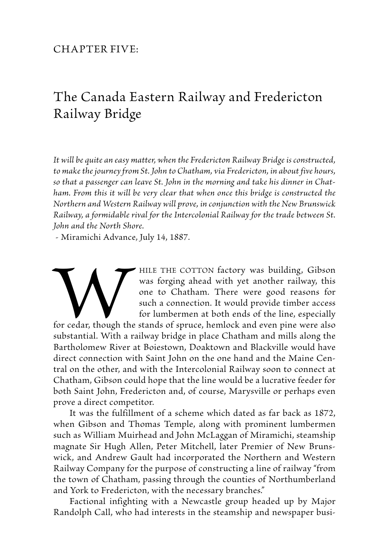## Chapter Five:

## The Canada Eastern Railway and Fredericton Railway Bridge

*It will be quite an easy matter, when the Fredericton Railway Bridge is constructed, to make the journey from St. John to Chatham, via Fredericton, in about five hours, so that a passenger can leave St. John in the morning and take his dinner in Chatham. From this it will be very clear that when once this bridge is constructed the Northern and Western Railway will prove, in conjunction with the New Brunswick Railway, a formidable rival for the Intercolonial Railway for the trade between St. John and the North Shore.*

- Miramichi Advance, July 14, 1887.

HILE THE COTTON factory was building, Gibson<br>was forging ahead with yet another railway, this<br>one to Chatham. There were good reasons for<br>such a connection. It would provide timber access<br>for cedar, though the stands of sp was forging ahead with yet another railway, this one to Chatham. There were good reasons for such a connection. It would provide timber access for lumbermen at both ends of the line, especially

for cedar, though the stands of spruce, hemlock and even pine were also substantial. With a railway bridge in place Chatham and mills along the Bartholomew River at Boiestown, Doaktown and Blackville would have direct connection with Saint John on the one hand and the Maine Central on the other, and with the Intercolonial Railway soon to connect at Chatham, Gibson could hope that the line would be a lucrative feeder for both Saint John, Fredericton and, of course, Marysville or perhaps even prove a direct competitor.

 It was the fulfillment of a scheme which dated as far back as 1872, when Gibson and Thomas Temple, along with prominent lumbermen such as William Muirhead and John McLaggan of Miramichi, steamship magnate Sir Hugh Allen, Peter Mitchell, later Premier of New Brunswick, and Andrew Gault had incorporated the Northern and Western Railway Company for the purpose of constructing a line of railway "from the town of Chatham, passing through the counties of Northumberland and York to Fredericton, with the necessary branches."

Factional infighting with a Newcastle group headed up by Major Randolph Call, who had interests in the steamship and newspaper busi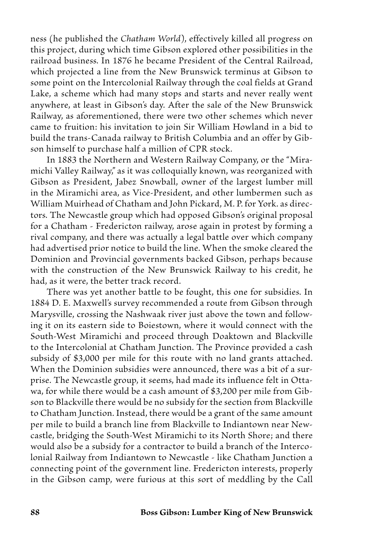ness (he published the *Chatham World*), effectively killed all progress on this project, during which time Gibson explored other possibilities in the railroad business. In 1876 he became President of the Central Railroad, which projected a line from the New Brunswick terminus at Gibson to some point on the Intercolonial Railway through the coal fields at Grand Lake, a scheme which had many stops and starts and never really went anywhere, at least in Gibson's day. After the sale of the New Brunswick Railway, as aforementioned, there were two other schemes which never came to fruition: his invitation to join Sir William Howland in a bid to build the trans-Canada railway to British Columbia and an offer by Gibson himself to purchase half a million of CPR stock.

 In 1883 the Northern and Western Railway Company, or the "Miramichi Valley Railway," as it was colloquially known, was reorganized with Gibson as President, Jabez Snowball, owner of the largest lumber mill in the Miramichi area, as Vice-President, and other lumbermen such as William Muirhead of Chatham and John Pickard, M. P. for York. as directors. The Newcastle group which had opposed Gibson's original proposal for a Chatham - Fredericton railway, arose again in protest by forming a rival company, and there was actually a legal battle over which company had advertised prior notice to build the line. When the smoke cleared the Dominion and Provincial governments backed Gibson, perhaps because with the construction of the New Brunswick Railway to his credit, he had, as it were, the better track record.

 There was yet another battle to be fought, this one for subsidies. In 1884 D. E. Maxwell's survey recommended a route from Gibson through Marysville, crossing the Nashwaak river just above the town and following it on its eastern side to Boiestown, where it would connect with the South-West Miramichi and proceed through Doaktown and Blackville to the Intercolonial at Chatham Junction. The Province provided a cash subsidy of \$3,000 per mile for this route with no land grants attached. When the Dominion subsidies were announced, there was a bit of a surprise. The Newcastle group, it seems, had made its influence felt in Ottawa, for while there would be a cash amount of \$3,200 per mile from Gibson to Blackville there would be no subsidy for the section from Blackville to Chatham Junction. Instead, there would be a grant of the same amount per mile to build a branch line from Blackville to Indiantown near Newcastle, bridging the South-West Miramichi to its North Shore; and there would also be a subsidy for a contractor to build a branch of the Intercolonial Railway from Indiantown to Newcastle - like Chatham Junction a connecting point of the government line. Fredericton interests, properly in the Gibson camp, were furious at this sort of meddling by the Call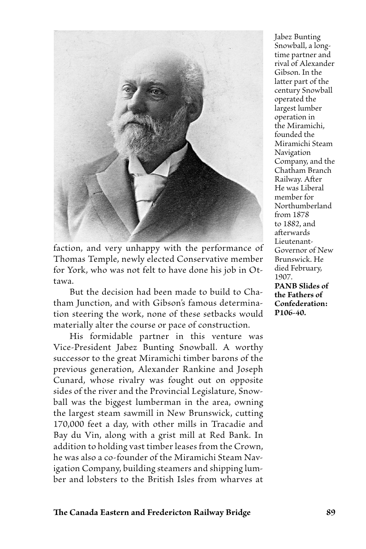

faction, and very unhappy with the performance of Thomas Temple, newly elected Conservative member for York, who was not felt to have done his job in Ottawa.

But the decision had been made to build to Chatham Junction, and with Gibson's famous determination steering the work, none of these setbacks would materially alter the course or pace of construction.

 His formidable partner in this venture was Vice-President Jabez Bunting Snowball. A worthy successor to the great Miramichi timber barons of the previous generation, Alexander Rankine and Joseph Cunard, whose rivalry was fought out on opposite sides of the river and the Provincial Legislature, Snowball was the biggest lumberman in the area, owning the largest steam sawmill in New Brunswick, cutting 170,000 feet a day, with other mills in Tracadie and Bay du Vin, along with a grist mill at Red Bank. In addition to holding vast timber leases from the Crown, he was also a co-founder of the Miramichi Steam Navigation Company, building steamers and shipping lumber and lobsters to the British Isles from wharves at

Jabez Bunting Snowball, a longtime partner and rival of Alexander Gibson. In the latter part of the century Snowball operated the largest lumber operation in the Miramichi, founded the Miramichi Steam Navigation Company, and the Chatham Branch Railway. After He was Liberal member for Northumberland from 1878 to 1882, and afterwards Lieutenant-Governor of New Brunswick. He died February, 1907. **PANB Slides of the Fathers of Confederation: P106-40.**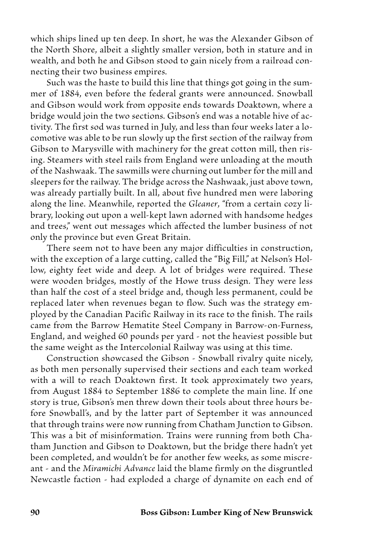which ships lined up ten deep. In short, he was the Alexander Gibson of the North Shore, albeit a slightly smaller version, both in stature and in wealth, and both he and Gibson stood to gain nicely from a railroad connecting their two business empires.

Such was the haste to build this line that things got going in the summer of 1884, even before the federal grants were announced. Snowball and Gibson would work from opposite ends towards Doaktown, where a bridge would join the two sections. Gibson's end was a notable hive of activity. The first sod was turned in July, and less than four weeks later a locomotive was able to be run slowly up the first section of the railway from Gibson to Marysville with machinery for the great cotton mill, then rising. Steamers with steel rails from England were unloading at the mouth of the Nashwaak. The sawmills were churning out lumber for the mill and sleepers for the railway. The bridge across the Nashwaak, just above town, was already partially built. In all, about five hundred men were laboring along the line. Meanwhile, reported the *Gleaner*, "from a certain cozy library, looking out upon a well-kept lawn adorned with handsome hedges and trees," went out messages which affected the lumber business of not only the province but even Great Britain.

 There seem not to have been any major difficulties in construction, with the exception of a large cutting, called the "Big Fill," at Nelson's Hollow, eighty feet wide and deep. A lot of bridges were required. These were wooden bridges, mostly of the Howe truss design. They were less than half the cost of a steel bridge and, though less permanent, could be replaced later when revenues began to flow. Such was the strategy employed by the Canadian Pacific Railway in its race to the finish. The rails came from the Barrow Hematite Steel Company in Barrow-on-Furness, England, and weighed 60 pounds per yard - not the heaviest possible but the same weight as the Intercolonial Railway was using at this time.

Construction showcased the Gibson - Snowball rivalry quite nicely, as both men personally supervised their sections and each team worked with a will to reach Doaktown first. It took approximately two years, from August 1884 to September 1886 to complete the main line. If one story is true, Gibson's men threw down their tools about three hours before Snowball's, and by the latter part of September it was announced that through trains were now running from Chatham Junction to Gibson. This was a bit of misinformation. Trains were running from both Chatham Junction and Gibson to Doaktown, but the bridge there hadn't yet been completed, and wouldn't be for another few weeks, as some miscreant - and the *Miramichi Advance* laid the blame firmly on the disgruntled Newcastle faction - had exploded a charge of dynamite on each end of